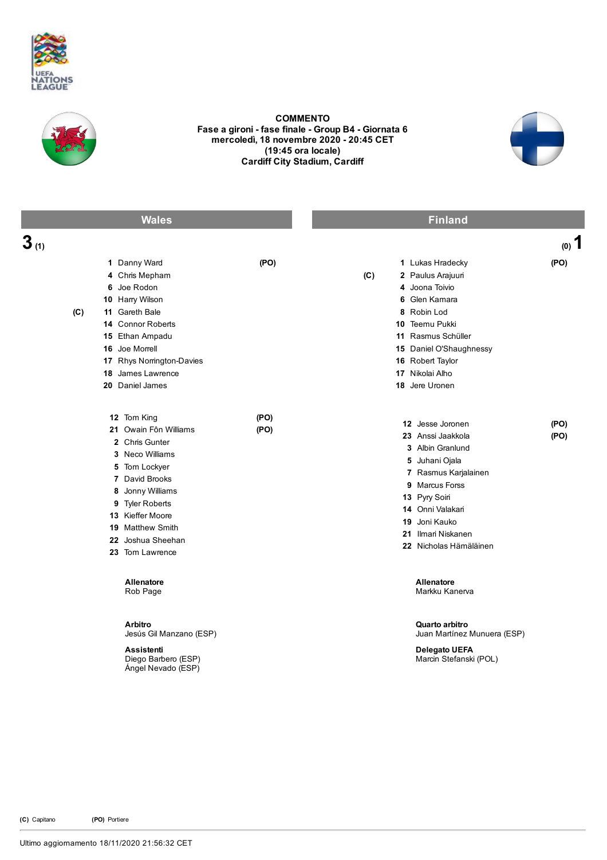



COMMENTO Fase a gironi - fase finale - Group B4 - Giornata 6 mercoledì, 18 novembre 2020 20:45 CET (19:45 ora locale) Cardiff City Stadium, Cardiff



|                               | <b>Wales</b>                                                                                                                                                                                                                        |              |     | <b>Finland</b>                                                                                                                                                                                                              |              |
|-------------------------------|-------------------------------------------------------------------------------------------------------------------------------------------------------------------------------------------------------------------------------------|--------------|-----|-----------------------------------------------------------------------------------------------------------------------------------------------------------------------------------------------------------------------------|--------------|
| $3_{\scriptscriptstyle{(1)}}$ |                                                                                                                                                                                                                                     |              |     |                                                                                                                                                                                                                             | $(0)$ 1      |
| (C)                           | 1 Danny Ward<br>4 Chris Mepham<br>6 Joe Rodon<br>10 Harry Wilson<br>11 Gareth Bale<br>14 Connor Roberts<br>15 Ethan Ampadu<br>16 Joe Morrell<br>17 Rhys Norrington-Davies<br>18 James Lawrence<br>20 Daniel James                   | (PO)         | (C) | 1 Lukas Hradecky<br>2 Paulus Arajuuri<br>4 Joona Toivio<br>6 Glen Kamara<br>8 Robin Lod<br>10 Teemu Pukki<br>11 Rasmus Schüller<br>15 Daniel O'Shaughnessy<br>16 Robert Taylor<br>17 Nikolai Alho<br>18 Jere Uronen         | (PO)         |
|                               | 12 Tom King<br>21 Owain Fôn Williams<br>2 Chris Gunter<br>3 Neco Williams<br>5 Tom Lockyer<br>7 David Brooks<br>8 Jonny Williams<br>9 Tyler Roberts<br>13 Kieffer Moore<br>19 Matthew Smith<br>22 Joshua Sheehan<br>23 Tom Lawrence | (PO)<br>(PO) |     | 12 Jesse Joronen<br>23 Anssi Jaakkola<br>3 Albin Granlund<br>5 Juhani Ojala<br>7 Rasmus Karjalainen<br>9 Marcus Forss<br>13 Pyry Soiri<br>14 Onni Valakari<br>19 Joni Kauko<br>21 Ilmari Niskanen<br>22 Nicholas Hämäläinen | (PO)<br>(PO) |
|                               | Allenatore<br>Rob Page                                                                                                                                                                                                              |              |     | Allenatore<br>Markku Kanerva                                                                                                                                                                                                |              |
|                               | <b>Arbitro</b><br>Jesús Gil Manzano (ESP)<br><b>Assistenti</b><br>Diego Barbero (ESP)<br>Angel Nevado (ESP)                                                                                                                         |              |     | Quarto arbitro<br>Juan Martínez Munuera (ESP)<br>Delegato UEFA<br>Marcin Stefanski (POL)                                                                                                                                    |              |

(C) Capitano (PO) Portiere